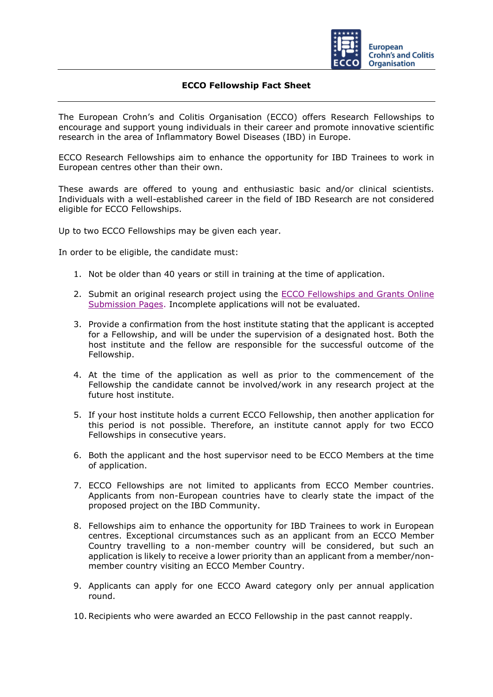

## **ECCO Fellowship Fact Sheet**

The European Crohn's and Colitis Organisation (ECCO) offers Research Fellowships to encourage and support young individuals in their career and promote innovative scientific research in the area of Inflammatory Bowel Diseases (IBD) in Europe.

ECCO Research Fellowships aim to enhance the opportunity for IBD Trainees to work in European centres other than their own.

These awards are offered to young and enthusiastic basic and/or clinical scientists. Individuals with a well-established career in the field of IBD Research are not considered eligible for ECCO Fellowships.

Up to two ECCO Fellowships may be given each year.

In order to be eligible, the candidate must:

- 1. Not be older than 40 years or still in training at the time of application.
- 2. Submit an original research project using the [ECCO Fellowships and Grants Online](https://cm.ecco-ibd.eu/cmPortal/Proposal/ASSOC22/config/normal/redirectconfig/ECCOFellowships)  [Submission Pages.](https://cm.ecco-ibd.eu/cmPortal/Proposal/ASSOC22/config/normal/redirectconfig/ECCOFellowships) Incomplete applications will not be evaluated.
- 3. Provide a confirmation from the host institute stating that the applicant is accepted for a Fellowship, and will be under the supervision of a designated host. Both the host institute and the fellow are responsible for the successful outcome of the Fellowship.
- 4. At the time of the application as well as prior to the commencement of the Fellowship the candidate cannot be involved/work in any research project at the future host institute.
- 5. If your host institute holds a current ECCO Fellowship, then another application for this period is not possible. Therefore, an institute cannot apply for two ECCO Fellowships in consecutive years.
- 6. Both the applicant and the host supervisor need to be ECCO Members at the time of application.
- 7. ECCO Fellowships are not limited to applicants from ECCO Member countries. Applicants from non-European countries have to clearly state the impact of the proposed project on the IBD Community.
- 8. Fellowships aim to enhance the opportunity for IBD Trainees to work in European centres. Exceptional circumstances such as an applicant from an ECCO Member Country travelling to a non-member country will be considered, but such an application is likely to receive a lower priority than an applicant from a member/nonmember country visiting an ECCO Member Country.
- 9. Applicants can apply for one ECCO Award category only per annual application round.
- 10.Recipients who were awarded an ECCO Fellowship in the past cannot reapply.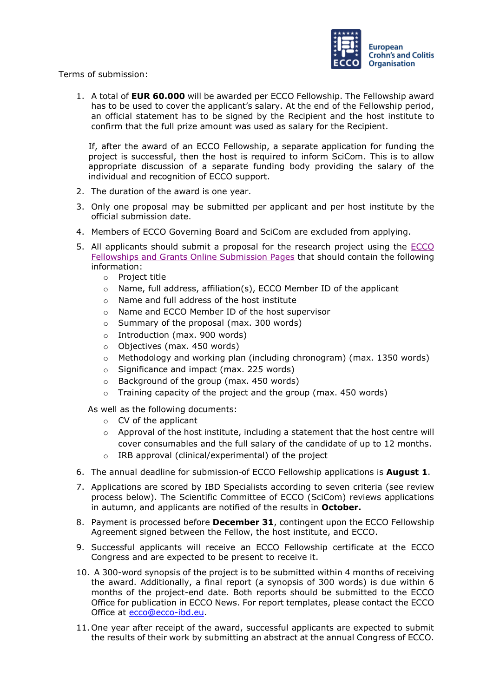

Terms of submission:

1. A total of **EUR 60.000** will be awarded per ECCO Fellowship. The Fellowship award has to be used to cover the applicant's salary. At the end of the Fellowship period, an official statement has to be signed by the Recipient and the host institute to confirm that the full prize amount was used as salary for the Recipient.

If, after the award of an ECCO Fellowship, a separate application for funding the project is successful, then the host is required to inform SciCom. This is to allow appropriate discussion of a separate funding body providing the salary of the individual and recognition of ECCO support.

- 2. The duration of the award is one year.
- 3. Only one proposal may be submitted per applicant and per host institute by the official submission date.
- 4. Members of ECCO Governing Board and SciCom are excluded from applying.
- 5. All applicants should submit a proposal for the research project using the [ECCO](https://cm.ecco-ibd.eu/cmPortal/Proposal/ASSOC22/config/normal/redirectconfig/ECCOFellowships)  [Fellowships and Grants Online Submission Pages](https://cm.ecco-ibd.eu/cmPortal/Proposal/ASSOC22/config/normal/redirectconfig/ECCOFellowships) that should contain the following information:
	- o Project title
	- o Name, full address, affiliation(s), ECCO Member ID of the applicant
	- o Name and full address of the host institute
	- o Name and ECCO Member ID of the host supervisor
	- o Summary of the proposal (max. 300 words)
	- o Introduction (max. 900 words)
	- o Objectives (max. 450 words)
	- $\circ$  Methodology and working plan (including chronogram) (max. 1350 words)
	- o Significance and impact (max. 225 words)
	- o Background of the group (max. 450 words)
	- $\circ$  Training capacity of the project and the group (max. 450 words)

As well as the following documents:

- o CV of the applicant
- o Approval of the host institute, including a statement that the host centre will cover consumables and the full salary of the candidate of up to 12 months.
- o IRB approval (clinical/experimental) of the project
- 6. The annual deadline for submission of ECCO Fellowship applications is **August 1**.
- 7. Applications are scored by IBD Specialists according to seven criteria (see review process below). The Scientific Committee of ECCO (SciCom) reviews applications in autumn, and applicants are notified of the results in **October.**
- 8. Payment is processed before **December 31**, contingent upon the ECCO Fellowship Agreement signed between the Fellow, the host institute, and ECCO.
- 9. Successful applicants will receive an ECCO Fellowship certificate at the ECCO Congress and are expected to be present to receive it.
- 10. A 300-word synopsis of the project is to be submitted within 4 months of receiving the award. Additionally, a final report (a synopsis of 300 words) is due within 6 months of the project-end date. Both reports should be submitted to the ECCO Office for publication in ECCO News. For report templates, please contact the ECCO Office at ecco@ecco-ibd.eu.
- 11. One year after receipt of the award, successful applicants are expected to submit the results of their work by submitting an abstract at the annual Congress of ECCO.